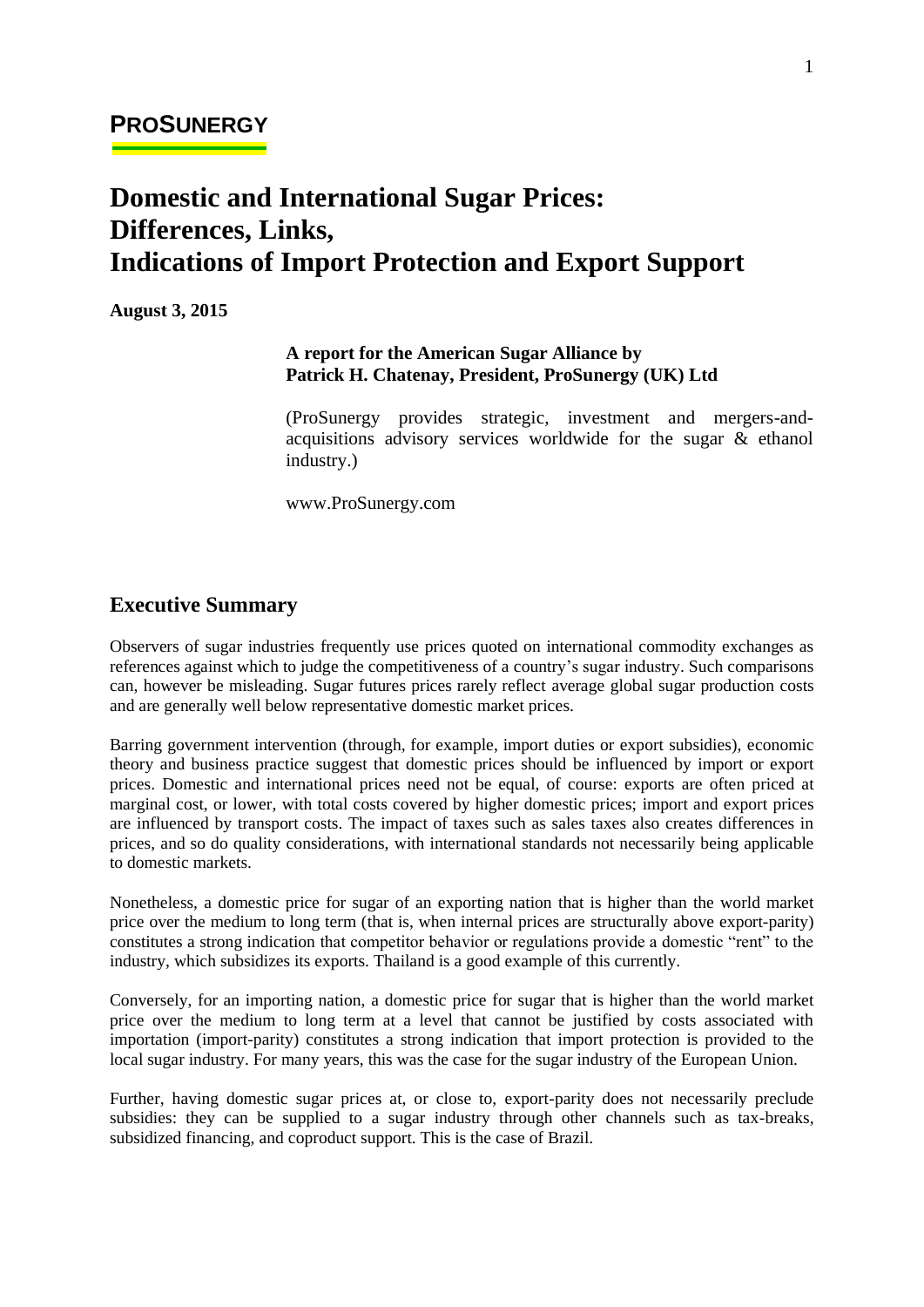# **Domestic and International Sugar Prices: Differences, Links, Indications of Import Protection and Export Support**

**August 3, 2015**

#### **A report for the American Sugar Alliance by Patrick H. Chatenay, President, ProSunergy (UK) Ltd**

(ProSunergy provides strategic, investment and mergers-andacquisitions advisory services worldwide for the sugar & ethanol industry.)

www.ProSunergy.com

### **Executive Summary**

Observers of sugar industries frequently use prices quoted on international commodity exchanges as references against which to judge the competitiveness of a country's sugar industry. Such comparisons can, however be misleading. Sugar futures prices rarely reflect average global sugar production costs and are generally well below representative domestic market prices.

Barring government intervention (through, for example, import duties or export subsidies), economic theory and business practice suggest that domestic prices should be influenced by import or export prices. Domestic and international prices need not be equal, of course: exports are often priced at marginal cost, or lower, with total costs covered by higher domestic prices; import and export prices are influenced by transport costs. The impact of taxes such as sales taxes also creates differences in prices, and so do quality considerations, with international standards not necessarily being applicable to domestic markets.

Nonetheless, a domestic price for sugar of an exporting nation that is higher than the world market price over the medium to long term (that is, when internal prices are structurally above export-parity) constitutes a strong indication that competitor behavior or regulations provide a domestic "rent" to the industry, which subsidizes its exports. Thailand is a good example of this currently.

Conversely, for an importing nation, a domestic price for sugar that is higher than the world market price over the medium to long term at a level that cannot be justified by costs associated with importation (import-parity) constitutes a strong indication that import protection is provided to the local sugar industry. For many years, this was the case for the sugar industry of the European Union.

Further, having domestic sugar prices at, or close to, export-parity does not necessarily preclude subsidies: they can be supplied to a sugar industry through other channels such as tax-breaks, subsidized financing, and coproduct support. This is the case of Brazil.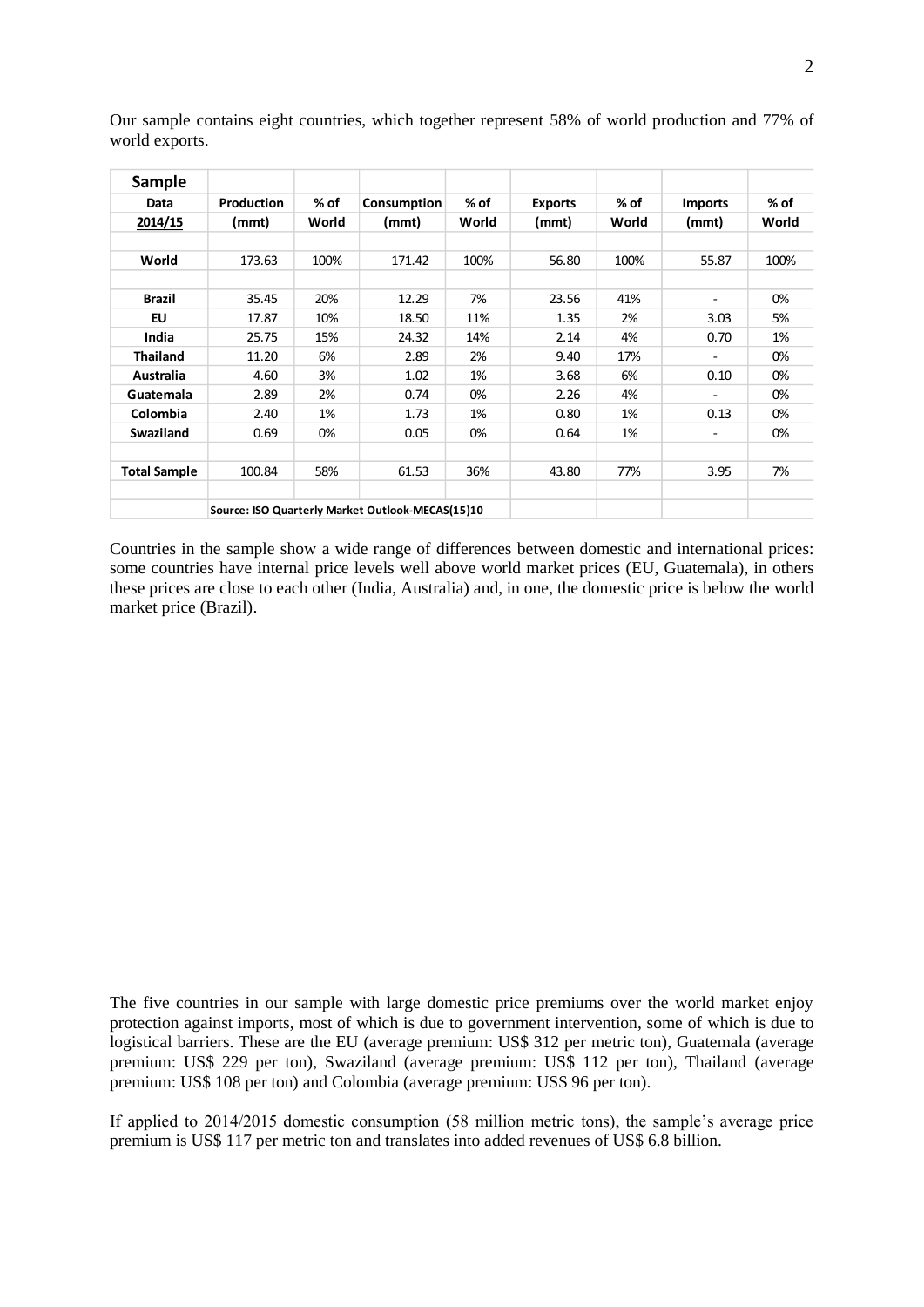| <b>Sample</b>       |                                                  |       |             |       |                |       |                          |       |
|---------------------|--------------------------------------------------|-------|-------------|-------|----------------|-------|--------------------------|-------|
| Data                | <b>Production</b>                                | % of  | Consumption | % of  | <b>Exports</b> | % of  | <b>Imports</b>           | % of  |
| 2014/15             | (mmt)                                            | World | (mmt)       | World | (mmt)          | World | (mmt)                    | World |
|                     |                                                  |       |             |       |                |       |                          |       |
| World               | 173.63                                           | 100%  | 171.42      | 100%  | 56.80          | 100%  | 55.87                    | 100%  |
|                     |                                                  |       |             |       |                |       |                          |       |
| <b>Brazil</b>       | 35.45                                            | 20%   | 12.29       | 7%    | 23.56          | 41%   | $\overline{\phantom{a}}$ | 0%    |
| EU                  | 17.87                                            | 10%   | 18.50       | 11%   | 1.35           | 2%    | 3.03                     | 5%    |
| India               | 25.75                                            | 15%   | 24.32       | 14%   | 2.14           | 4%    | 0.70                     | 1%    |
| <b>Thailand</b>     | 11.20                                            | 6%    | 2.89        | 2%    | 9.40           | 17%   | ۰.                       | 0%    |
| Australia           | 4.60                                             | 3%    | 1.02        | 1%    | 3.68           | 6%    | 0.10                     | 0%    |
| Guatemala           | 2.89                                             | 2%    | 0.74        | 0%    | 2.26           | 4%    | ۰                        | 0%    |
| Colombia            | 2.40                                             | 1%    | 1.73        | 1%    | 0.80           | 1%    | 0.13                     | 0%    |
| Swaziland           | 0.69                                             | 0%    | 0.05        | 0%    | 0.64           | 1%    | -                        | 0%    |
|                     |                                                  |       |             |       |                |       |                          |       |
| <b>Total Sample</b> | 100.84                                           | 58%   | 61.53       | 36%   | 43.80          | 77%   | 3.95                     | 7%    |
|                     |                                                  |       |             |       |                |       |                          |       |
|                     | Source: ISO Quarterly Market Outlook-MECAS(15)10 |       |             |       |                |       |                          |       |

Our sample contains eight countries, which together represent 58% of world production and 77% of world exports.

Countries in the sample show a wide range of differences between domestic and international prices: some countries have internal price levels well above world market prices (EU, Guatemala), in others these prices are close to each other (India, Australia) and, in one, the domestic price is below the world market price (Brazil).

The five countries in our sample with large domestic price premiums over the world market enjoy protection against imports, most of which is due to government intervention, some of which is due to logistical barriers. These are the EU (average premium: US\$ 312 per metric ton), Guatemala (average premium: US\$ 229 per ton), Swaziland (average premium: US\$ 112 per ton), Thailand (average premium: US\$ 108 per ton) and Colombia (average premium: US\$ 96 per ton).

If applied to 2014/2015 domestic consumption (58 million metric tons), the sample's average price premium is US\$ 117 per metric ton and translates into added revenues of US\$ 6.8 billion.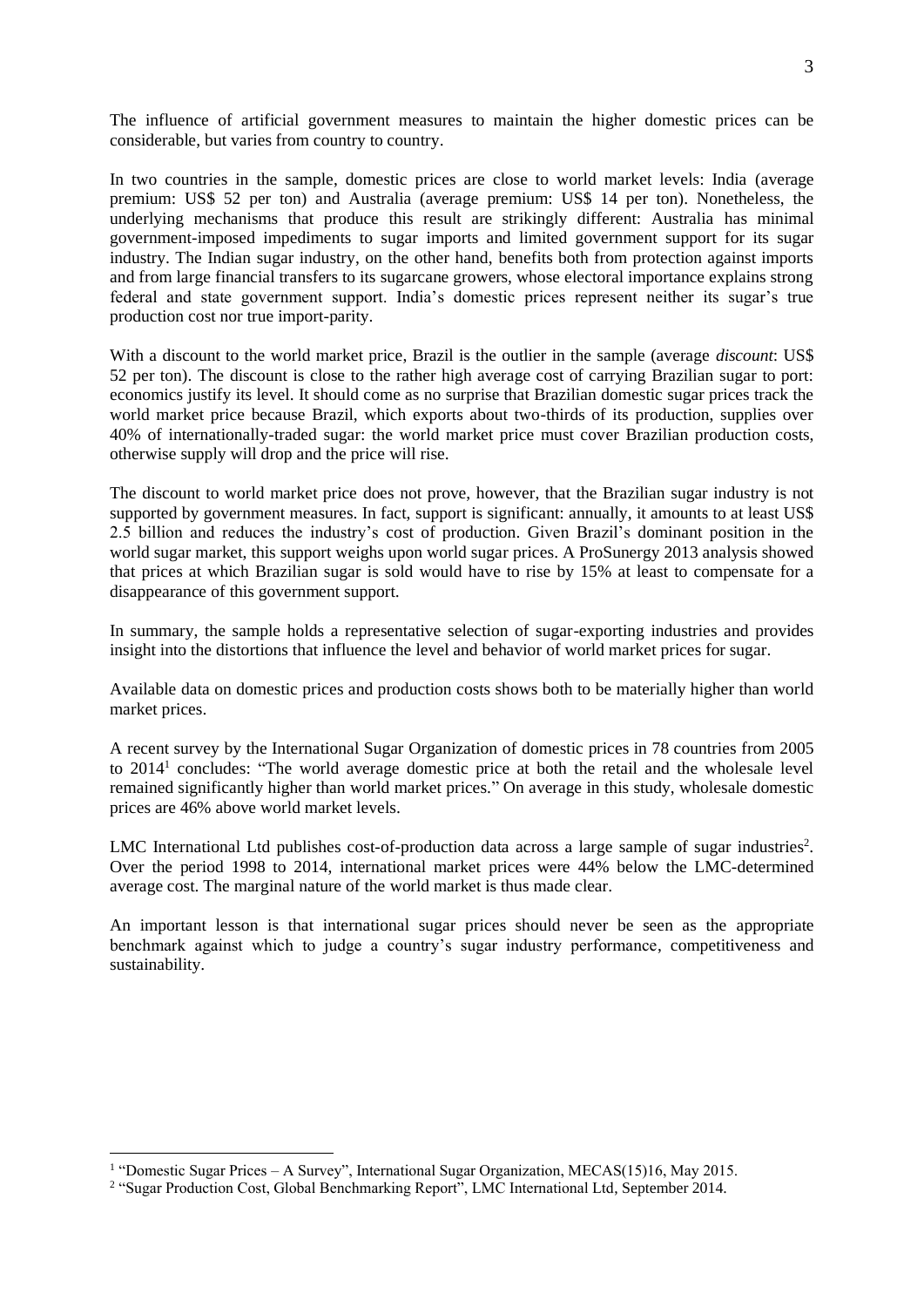The influence of artificial government measures to maintain the higher domestic prices can be considerable, but varies from country to country.

In two countries in the sample, domestic prices are close to world market levels: India (average premium: US\$ 52 per ton) and Australia (average premium: US\$ 14 per ton). Nonetheless, the underlying mechanisms that produce this result are strikingly different: Australia has minimal government-imposed impediments to sugar imports and limited government support for its sugar industry. The Indian sugar industry, on the other hand, benefits both from protection against imports and from large financial transfers to its sugarcane growers, whose electoral importance explains strong federal and state government support. India's domestic prices represent neither its sugar's true production cost nor true import-parity.

With a discount to the world market price, Brazil is the outlier in the sample (average *discount*: US\$ 52 per ton). The discount is close to the rather high average cost of carrying Brazilian sugar to port: economics justify its level. It should come as no surprise that Brazilian domestic sugar prices track the world market price because Brazil, which exports about two-thirds of its production, supplies over 40% of internationally-traded sugar: the world market price must cover Brazilian production costs, otherwise supply will drop and the price will rise.

The discount to world market price does not prove, however, that the Brazilian sugar industry is not supported by government measures. In fact, support is significant: annually, it amounts to at least US\$ 2.5 billion and reduces the industry's cost of production. Given Brazil's dominant position in the world sugar market, this support weighs upon world sugar prices. A ProSunergy 2013 analysis showed that prices at which Brazilian sugar is sold would have to rise by 15% at least to compensate for a disappearance of this government support.

In summary, the sample holds a representative selection of sugar-exporting industries and provides insight into the distortions that influence the level and behavior of world market prices for sugar.

Available data on domestic prices and production costs shows both to be materially higher than world market prices.

A recent survey by the International Sugar Organization of domestic prices in 78 countries from 2005 to 2014<sup>1</sup> concludes: "The world average domestic price at both the retail and the wholesale level remained significantly higher than world market prices." On average in this study, wholesale domestic prices are 46% above world market levels.

LMC International Ltd publishes cost-of-production data across a large sample of sugar industries<sup>2</sup>. Over the period 1998 to 2014, international market prices were 44% below the LMC-determined average cost. The marginal nature of the world market is thus made clear.

An important lesson is that international sugar prices should never be seen as the appropriate benchmark against which to judge a country's sugar industry performance, competitiveness and sustainability.

<sup>&</sup>lt;sup>1</sup> "Domestic Sugar Prices – A Survey", International Sugar Organization, MECAS(15)16, May 2015.

<sup>&</sup>lt;sup>2</sup> "Sugar Production Cost, Global Benchmarking Report", LMC International Ltd, September 2014.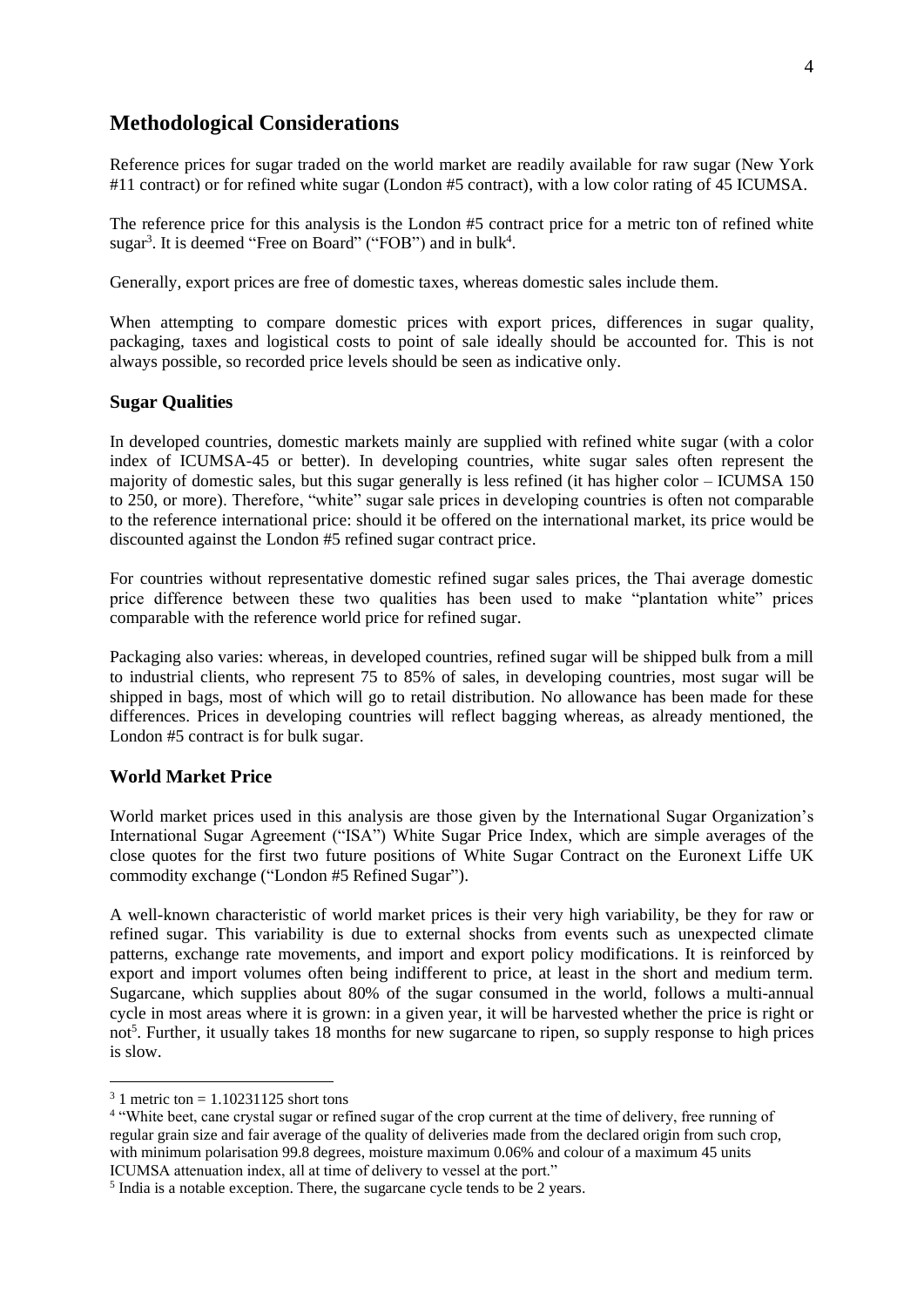### **Methodological Considerations**

Reference prices for sugar traded on the world market are readily available for raw sugar (New York #11 contract) or for refined white sugar (London #5 contract), with a low color rating of 45 ICUMSA.

The reference price for this analysis is the London #5 contract price for a metric ton of refined white sugar<sup>3</sup>. It is deemed "Free on Board" ("FOB") and in bulk<sup>4</sup>.

Generally, export prices are free of domestic taxes, whereas domestic sales include them.

When attempting to compare domestic prices with export prices, differences in sugar quality, packaging, taxes and logistical costs to point of sale ideally should be accounted for. This is not always possible, so recorded price levels should be seen as indicative only.

#### **Sugar Qualities**

In developed countries, domestic markets mainly are supplied with refined white sugar (with a color index of ICUMSA-45 or better). In developing countries, white sugar sales often represent the majority of domestic sales, but this sugar generally is less refined (it has higher color – ICUMSA 150 to 250, or more). Therefore, "white" sugar sale prices in developing countries is often not comparable to the reference international price: should it be offered on the international market, its price would be discounted against the London #5 refined sugar contract price.

For countries without representative domestic refined sugar sales prices, the Thai average domestic price difference between these two qualities has been used to make "plantation white" prices comparable with the reference world price for refined sugar.

Packaging also varies: whereas, in developed countries, refined sugar will be shipped bulk from a mill to industrial clients, who represent 75 to 85% of sales, in developing countries, most sugar will be shipped in bags, most of which will go to retail distribution. No allowance has been made for these differences. Prices in developing countries will reflect bagging whereas, as already mentioned, the London #5 contract is for bulk sugar.

#### **World Market Price**

World market prices used in this analysis are those given by the International Sugar Organization's International Sugar Agreement ("ISA") White Sugar Price Index, which are simple averages of the close quotes for the first two future positions of White Sugar Contract on the Euronext Liffe UK commodity exchange ("London #5 Refined Sugar").

A well-known characteristic of world market prices is their very high variability, be they for raw or refined sugar. This variability is due to external shocks from events such as unexpected climate patterns, exchange rate movements, and import and export policy modifications. It is reinforced by export and import volumes often being indifferent to price, at least in the short and medium term. Sugarcane, which supplies about 80% of the sugar consumed in the world, follows a multi-annual cycle in most areas where it is grown: in a given year, it will be harvested whether the price is right or not<sup>5</sup>. Further, it usually takes 18 months for new sugarcane to ripen, so supply response to high prices is slow.

 $3\text{ 1}$  metric ton = 1.10231125 short tons

<sup>4</sup> "White beet, cane crystal sugar or refined sugar of the crop current at the time of delivery, free running of regular grain size and fair average of the quality of deliveries made from the declared origin from such crop, with minimum polarisation 99.8 degrees, moisture maximum 0.06% and colour of a maximum 45 units ICUMSA attenuation index, all at time of delivery to vessel at the port."

<sup>&</sup>lt;sup>5</sup> India is a notable exception. There, the sugarcane cycle tends to be 2 years.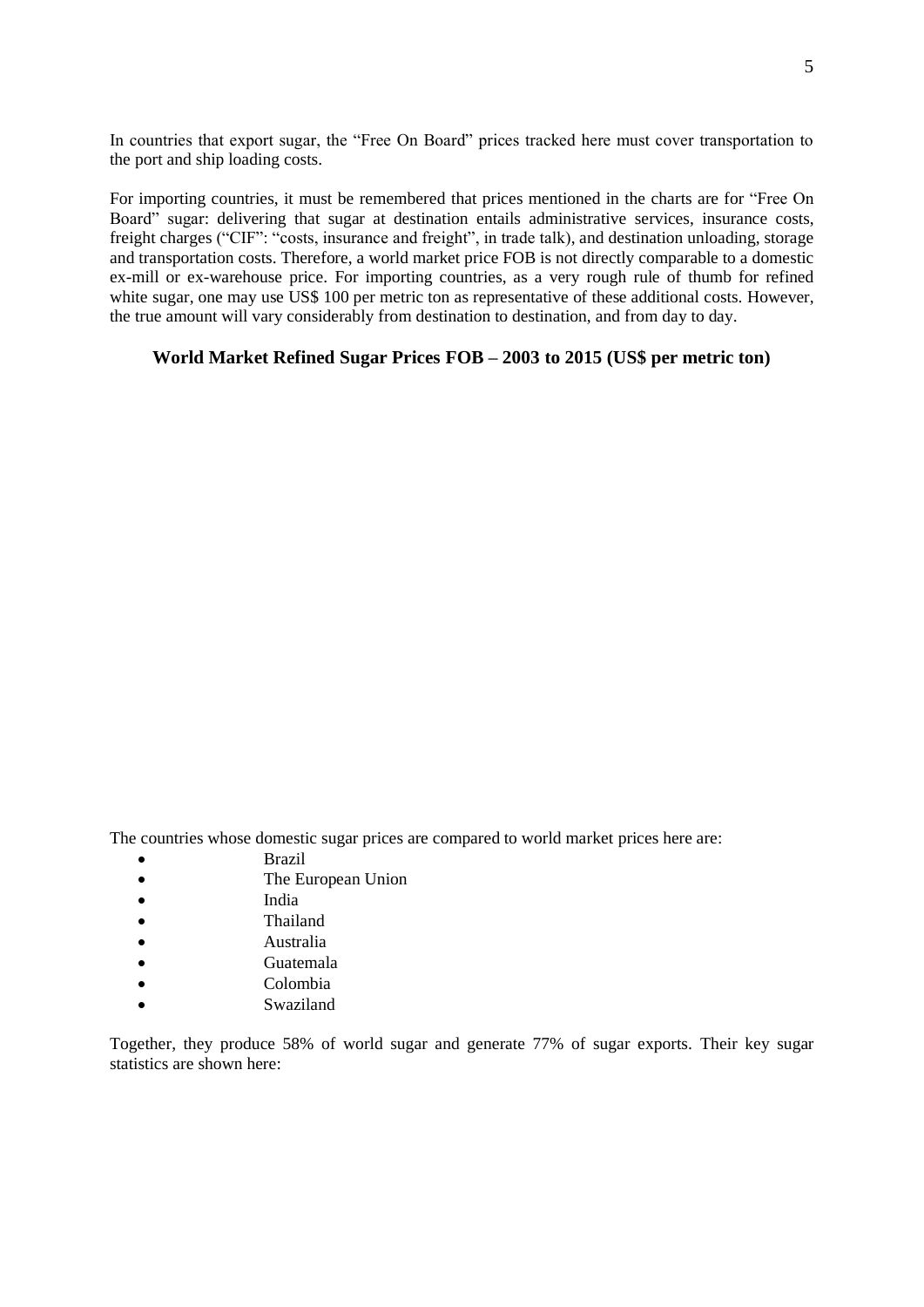In countries that export sugar, the "Free On Board" prices tracked here must cover transportation to the port and ship loading costs.

For importing countries, it must be remembered that prices mentioned in the charts are for "Free On Board" sugar: delivering that sugar at destination entails administrative services, insurance costs, freight charges ("CIF": "costs, insurance and freight", in trade talk), and destination unloading, storage and transportation costs. Therefore, a world market price FOB is not directly comparable to a domestic ex-mill or ex-warehouse price. For importing countries, as a very rough rule of thumb for refined white sugar, one may use US\$ 100 per metric ton as representative of these additional costs. However, the true amount will vary considerably from destination to destination, and from day to day.

#### **World Market Refined Sugar Prices FOB – 2003 to 2015 (US\$ per metric ton)**

The countries whose domestic sugar prices are compared to world market prices here are:

- Brazil
- The European Union
- India
- Thailand
- Australia
- Guatemala
- Colombia
- Swaziland

Together, they produce 58% of world sugar and generate 77% of sugar exports. Their key sugar statistics are shown here: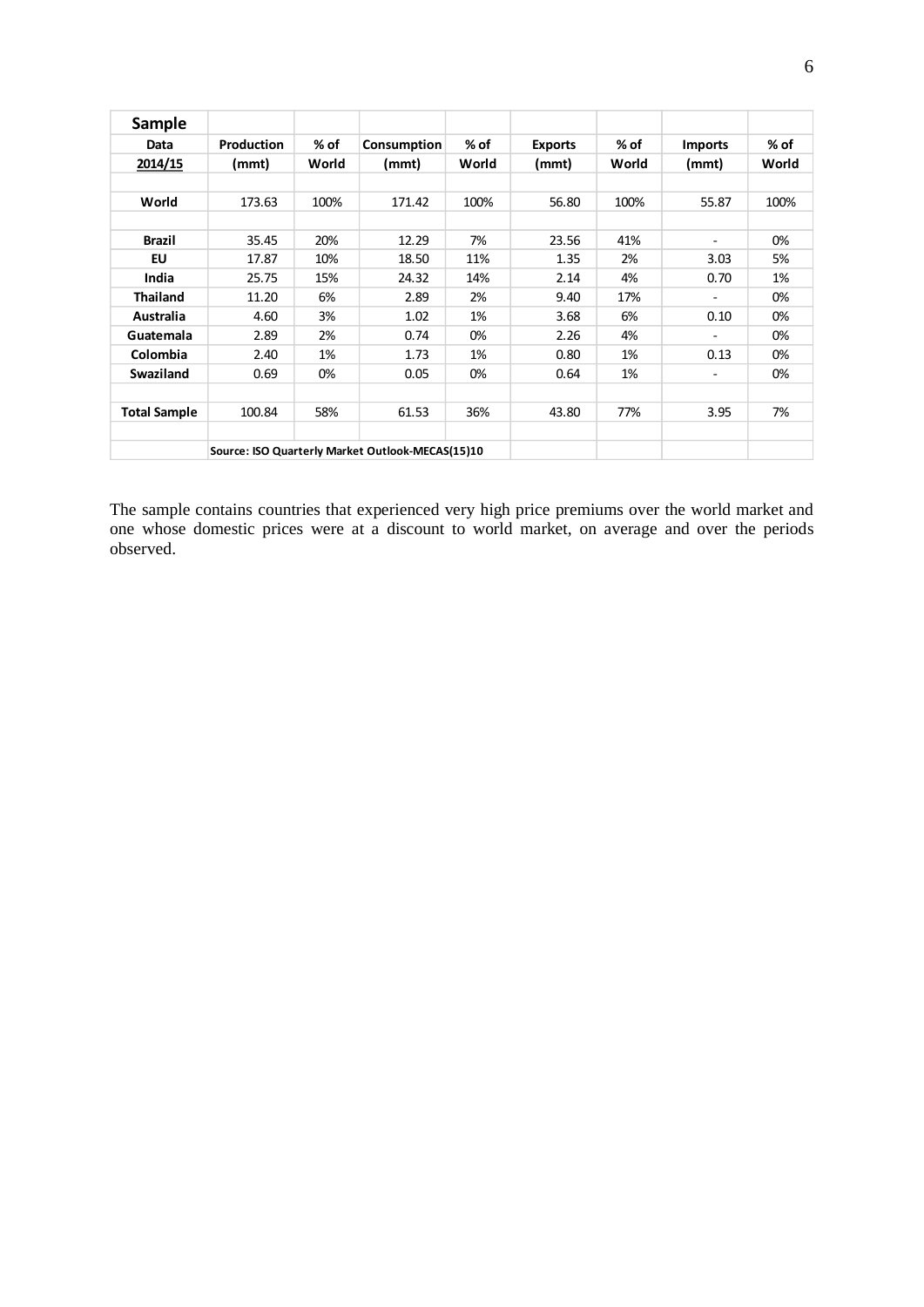| <b>Sample</b>       |                   |        |             |       |                |       |                          |       |
|---------------------|-------------------|--------|-------------|-------|----------------|-------|--------------------------|-------|
| Data                | <b>Production</b> | $%$ of | Consumption | % of  | <b>Exports</b> | % of  | <b>Imports</b>           | % of  |
| 2014/15             | (mmt)             | World  | (mmt)       | World | (mmt)          | World | (mmt)                    | World |
|                     |                   |        |             |       |                |       |                          |       |
| World               | 173.63            | 100%   | 171.42      | 100%  | 56.80          | 100%  | 55.87                    | 100%  |
|                     |                   |        |             |       |                |       |                          |       |
| <b>Brazil</b>       | 35.45             | 20%    | 12.29       | 7%    | 23.56          | 41%   | $\overline{\phantom{a}}$ | 0%    |
| <b>EU</b>           | 17.87             | 10%    | 18.50       | 11%   | 1.35           | 2%    | 3.03                     | 5%    |
| India               | 25.75             | 15%    | 24.32       | 14%   | 2.14           | 4%    | 0.70                     | 1%    |
| <b>Thailand</b>     | 11.20             | 6%     | 2.89        | 2%    | 9.40           | 17%   | $\overline{\phantom{a}}$ | 0%    |
| Australia           | 4.60              | 3%     | 1.02        | 1%    | 3.68           | 6%    | 0.10                     | 0%    |
| Guatemala           | 2.89              | 2%     | 0.74        | 0%    | 2.26           | 4%    |                          | 0%    |
| Colombia            | 2.40              | 1%     | 1.73        | 1%    | 0.80           | 1%    | 0.13                     | 0%    |
| Swaziland           | 0.69              | 0%     | 0.05        | 0%    | 0.64           | 1%    | $\overline{\phantom{a}}$ | 0%    |
|                     |                   |        |             |       |                |       |                          |       |
| <b>Total Sample</b> | 100.84            | 58%    | 61.53       | 36%   | 43.80          | 77%   | 3.95                     | 7%    |
|                     |                   |        |             |       |                |       |                          |       |
|                     |                   |        |             |       |                |       |                          |       |

The sample contains countries that experienced very high price premiums over the world market and one whose domestic prices were at a discount to world market, on average and over the periods observed.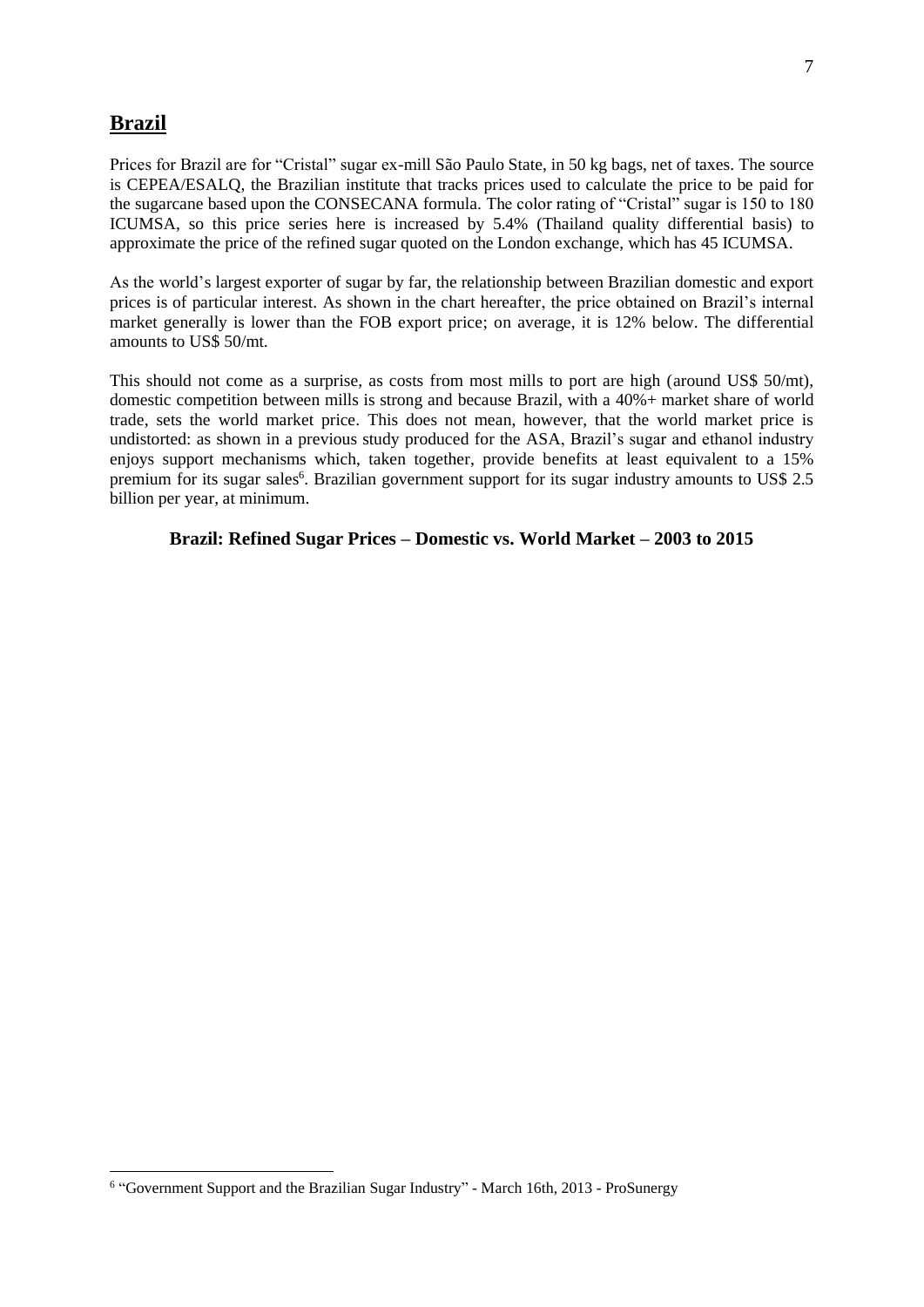### **Brazil**

Prices for Brazil are for "Cristal" sugar ex-mill São Paulo State, in 50 kg bags, net of taxes. The source is CEPEA/ESALQ, the Brazilian institute that tracks prices used to calculate the price to be paid for the sugarcane based upon the CONSECANA formula. The color rating of "Cristal" sugar is 150 to 180 ICUMSA, so this price series here is increased by 5.4% (Thailand quality differential basis) to approximate the price of the refined sugar quoted on the London exchange, which has 45 ICUMSA.

As the world's largest exporter of sugar by far, the relationship between Brazilian domestic and export prices is of particular interest. As shown in the chart hereafter, the price obtained on Brazil's internal market generally is lower than the FOB export price; on average, it is 12% below. The differential amounts to US\$ 50/mt.

This should not come as a surprise, as costs from most mills to port are high (around US\$ 50/mt), domestic competition between mills is strong and because Brazil, with a 40%+ market share of world trade, sets the world market price. This does not mean, however, that the world market price is undistorted: as shown in a previous study produced for the ASA, Brazil's sugar and ethanol industry enjoys support mechanisms which, taken together, provide benefits at least equivalent to a 15% premium for its sugar sales<sup>6</sup>. Brazilian government support for its sugar industry amounts to US\$ 2.5 billion per year, at minimum.

**Brazil: Refined Sugar Prices – Domestic vs. World Market – 2003 to 2015**

<sup>&</sup>lt;sup>6</sup> "Government Support and the Brazilian Sugar Industry" - March 16th, 2013 - ProSunergy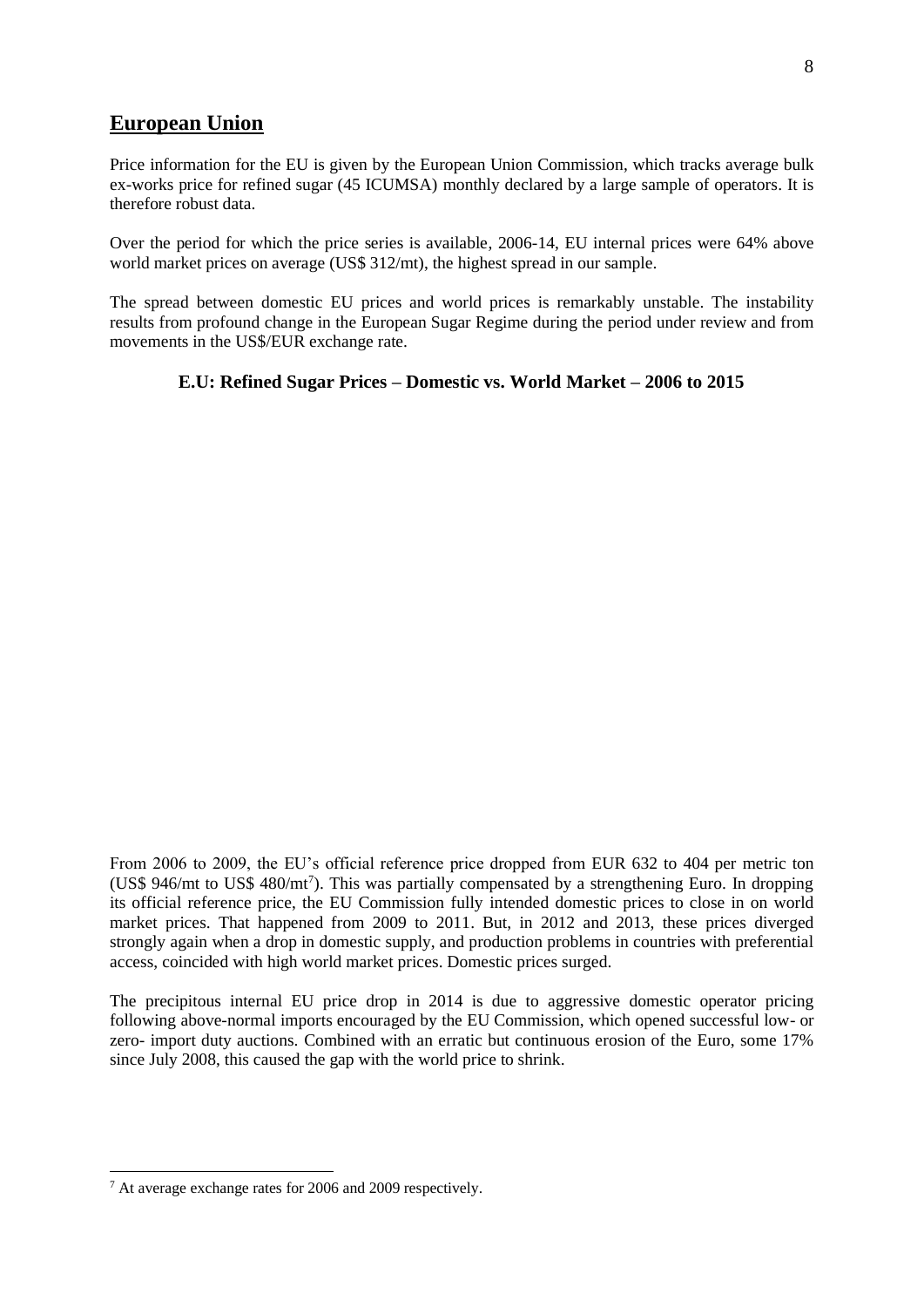### **European Union**

Price information for the EU is given by the European Union Commission, which tracks average bulk ex-works price for refined sugar (45 ICUMSA) monthly declared by a large sample of operators. It is therefore robust data.

Over the period for which the price series is available, 2006-14, EU internal prices were 64% above world market prices on average (US\$ 312/mt), the highest spread in our sample.

The spread between domestic EU prices and world prices is remarkably unstable. The instability results from profound change in the European Sugar Regime during the period under review and from movements in the US\$/EUR exchange rate.

#### **E.U: Refined Sugar Prices – Domestic vs. World Market – 2006 to 2015**

From 2006 to 2009, the EU's official reference price dropped from EUR 632 to 404 per metric ton (US\$ 946/mt to US\$ 480/mt<sup>7</sup>). This was partially compensated by a strengthening Euro. In dropping its official reference price, the EU Commission fully intended domestic prices to close in on world market prices. That happened from 2009 to 2011. But, in 2012 and 2013, these prices diverged strongly again when a drop in domestic supply, and production problems in countries with preferential access, coincided with high world market prices. Domestic prices surged.

The precipitous internal EU price drop in 2014 is due to aggressive domestic operator pricing following above-normal imports encouraged by the EU Commission, which opened successful low- or zero- import duty auctions. Combined with an erratic but continuous erosion of the Euro, some 17% since July 2008, this caused the gap with the world price to shrink.

<sup>7</sup> At average exchange rates for 2006 and 2009 respectively.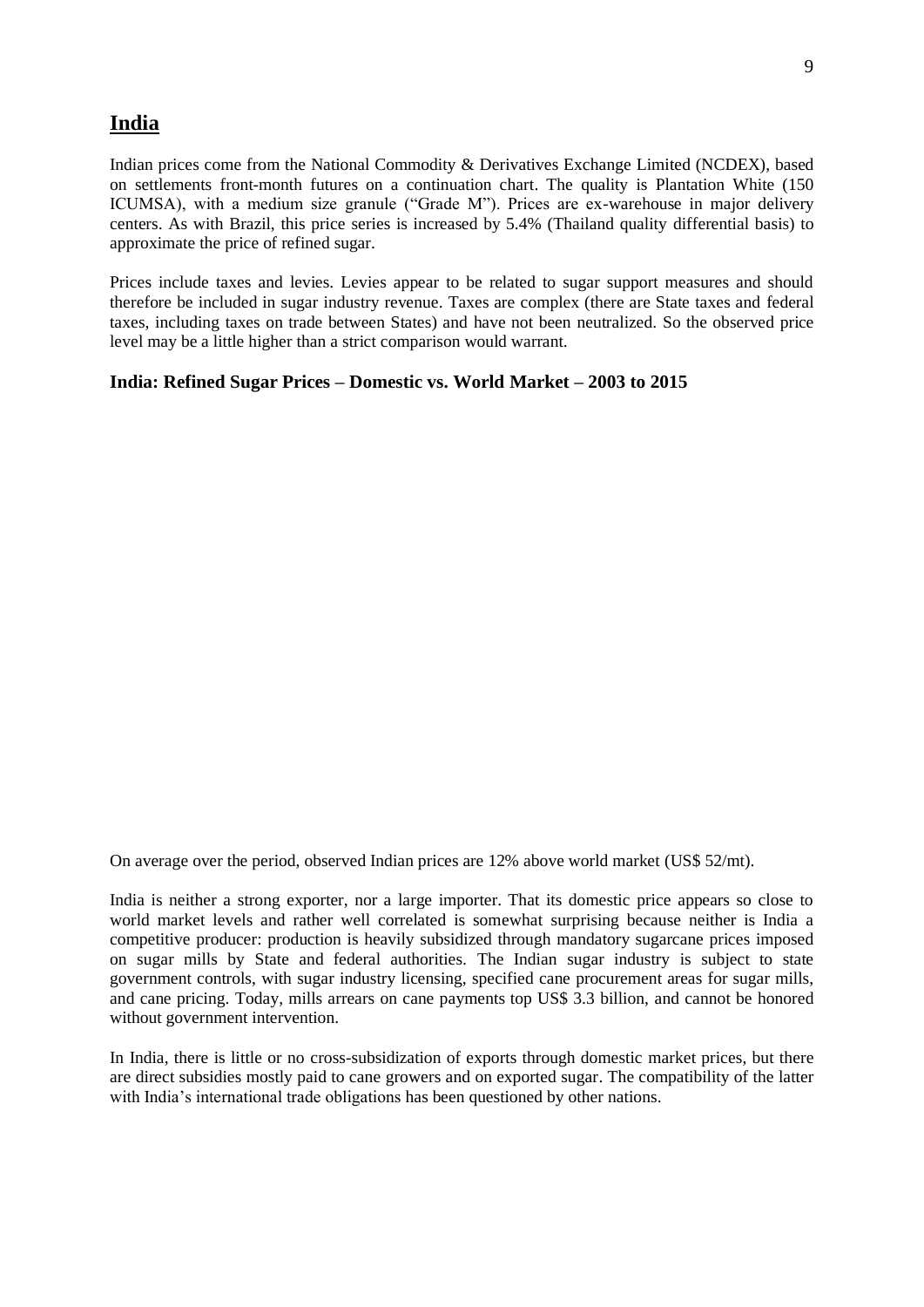### **India**

Indian prices come from the National Commodity & Derivatives Exchange Limited (NCDEX), based on settlements front-month futures on a continuation chart. The quality is Plantation White (150 ICUMSA), with a medium size granule ("Grade M"). Prices are ex-warehouse in major delivery centers. As with Brazil, this price series is increased by 5.4% (Thailand quality differential basis) to approximate the price of refined sugar.

Prices include taxes and levies. Levies appear to be related to sugar support measures and should therefore be included in sugar industry revenue. Taxes are complex (there are State taxes and federal taxes, including taxes on trade between States) and have not been neutralized. So the observed price level may be a little higher than a strict comparison would warrant.

#### **India: Refined Sugar Prices – Domestic vs. World Market – 2003 to 2015**

On average over the period, observed Indian prices are 12% above world market (US\$ 52/mt).

India is neither a strong exporter, nor a large importer. That its domestic price appears so close to world market levels and rather well correlated is somewhat surprising because neither is India a competitive producer: production is heavily subsidized through mandatory sugarcane prices imposed on sugar mills by State and federal authorities. The Indian sugar industry is subject to state government controls, with sugar industry licensing, specified cane procurement areas for sugar mills, and cane pricing. Today, mills arrears on cane payments top US\$ 3.3 billion, and cannot be honored without government intervention.

In India, there is little or no cross-subsidization of exports through domestic market prices, but there are direct subsidies mostly paid to cane growers and on exported sugar. The compatibility of the latter with India's international trade obligations has been questioned by other nations.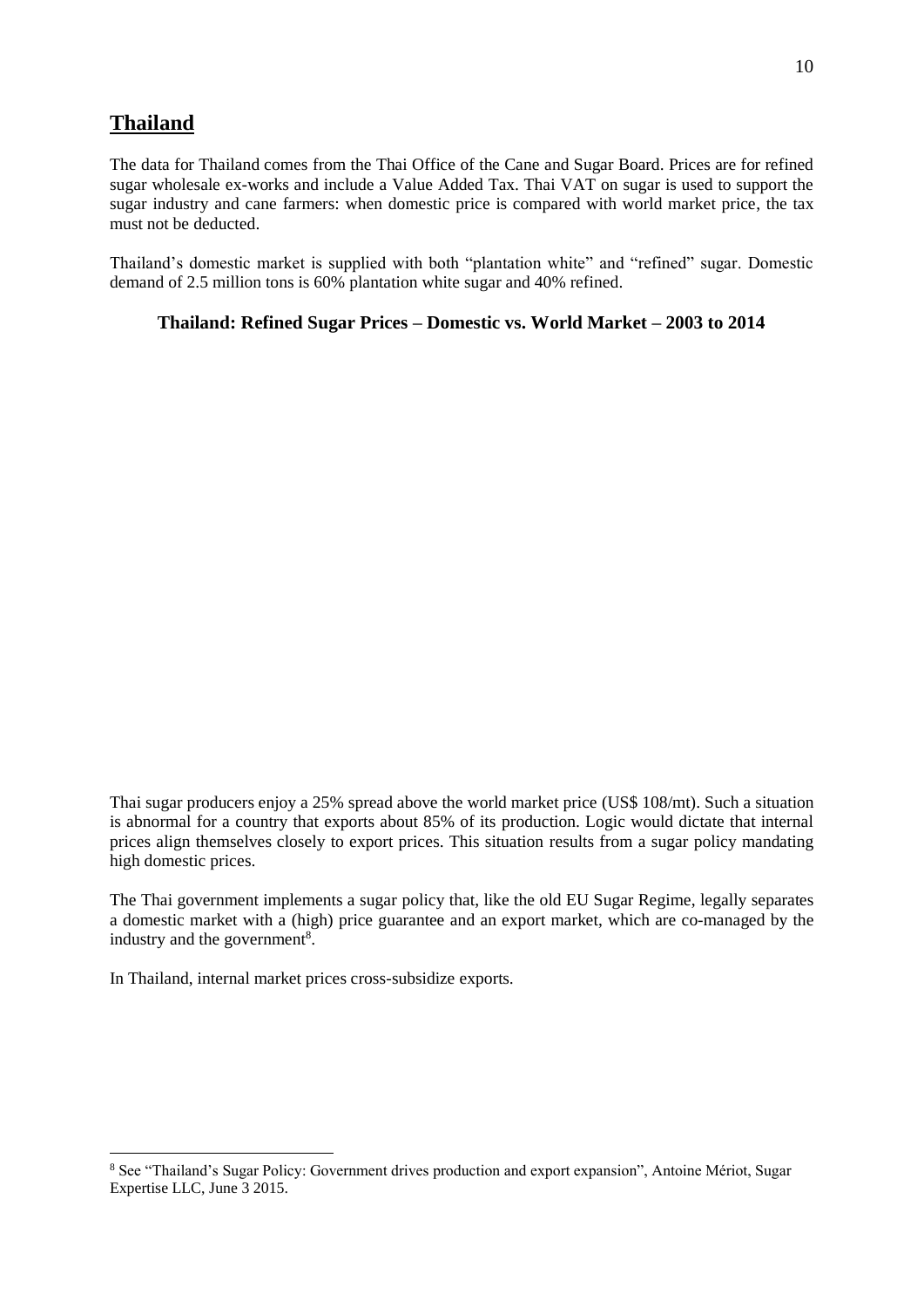# **Thailand**

The data for Thailand comes from the Thai Office of the Cane and Sugar Board. Prices are for refined sugar wholesale ex-works and include a Value Added Tax. Thai VAT on sugar is used to support the sugar industry and cane farmers: when domestic price is compared with world market price, the tax must not be deducted.

Thailand's domestic market is supplied with both "plantation white" and "refined" sugar. Domestic demand of 2.5 million tons is 60% plantation white sugar and 40% refined.

**Thailand: Refined Sugar Prices – Domestic vs. World Market – 2003 to 2014**

Thai sugar producers enjoy a 25% spread above the world market price (US\$ 108/mt). Such a situation is abnormal for a country that exports about 85% of its production. Logic would dictate that internal prices align themselves closely to export prices. This situation results from a sugar policy mandating high domestic prices.

The Thai government implements a sugar policy that, like the old EU Sugar Regime, legally separates a domestic market with a (high) price guarantee and an export market, which are co-managed by the industry and the government<sup>8</sup>.

In Thailand, internal market prices cross-subsidize exports.

<sup>8</sup> See "Thailand's Sugar Policy: Government drives production and export expansion", Antoine Mériot, Sugar Expertise LLC, June 3 2015.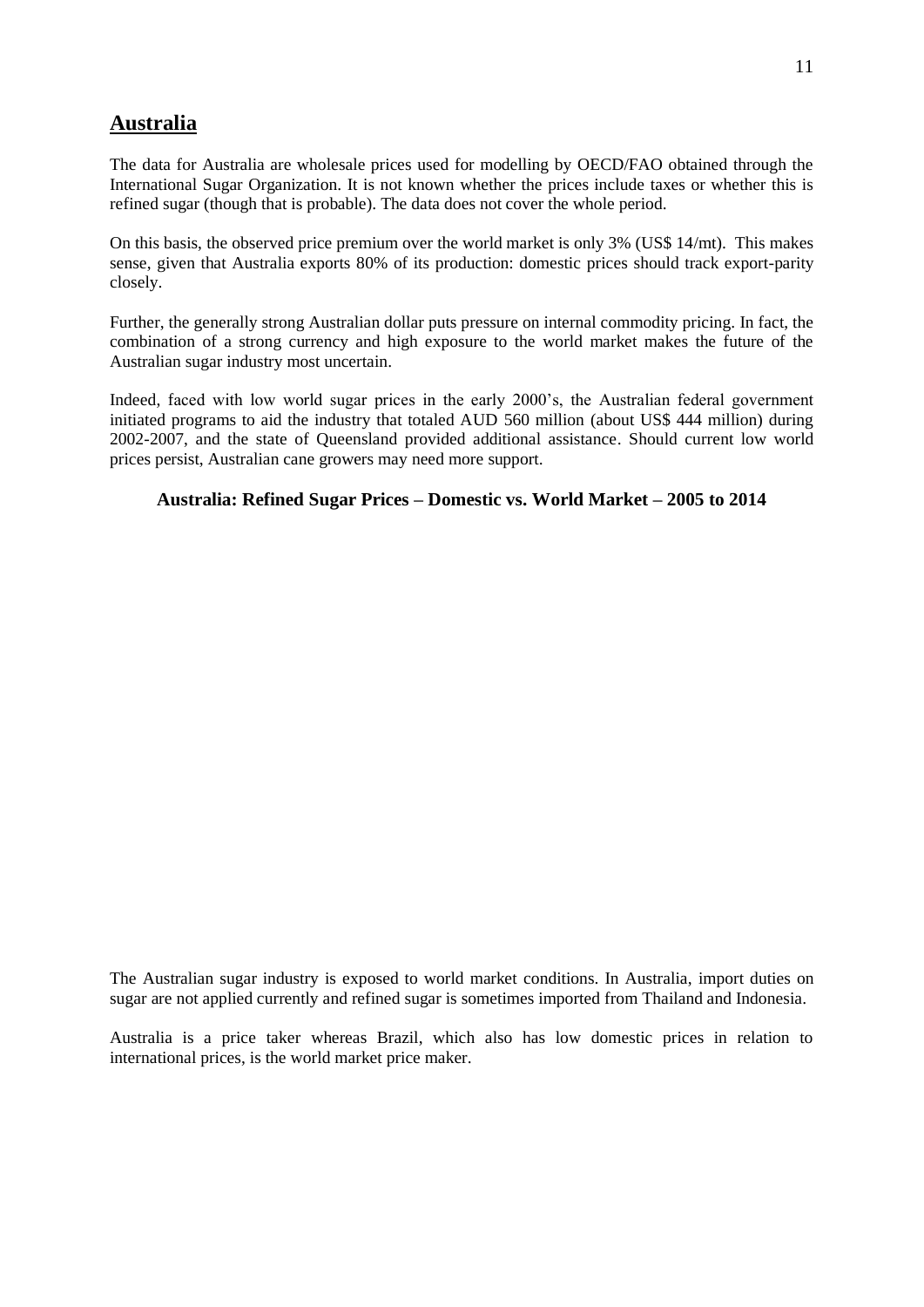# **Australia**

The data for Australia are wholesale prices used for modelling by OECD/FAO obtained through the International Sugar Organization. It is not known whether the prices include taxes or whether this is refined sugar (though that is probable). The data does not cover the whole period.

On this basis, the observed price premium over the world market is only 3% (US\$ 14/mt). This makes sense, given that Australia exports 80% of its production: domestic prices should track export-parity closely.

Further, the generally strong Australian dollar puts pressure on internal commodity pricing. In fact, the combination of a strong currency and high exposure to the world market makes the future of the Australian sugar industry most uncertain.

Indeed, faced with low world sugar prices in the early 2000's, the Australian federal government initiated programs to aid the industry that totaled AUD 560 million (about US\$ 444 million) during 2002-2007, and the state of Queensland provided additional assistance. Should current low world prices persist, Australian cane growers may need more support.

### **Australia: Refined Sugar Prices – Domestic vs. World Market – 2005 to 2014**

The Australian sugar industry is exposed to world market conditions. In Australia, import duties on sugar are not applied currently and refined sugar is sometimes imported from Thailand and Indonesia.

Australia is a price taker whereas Brazil, which also has low domestic prices in relation to international prices, is the world market price maker.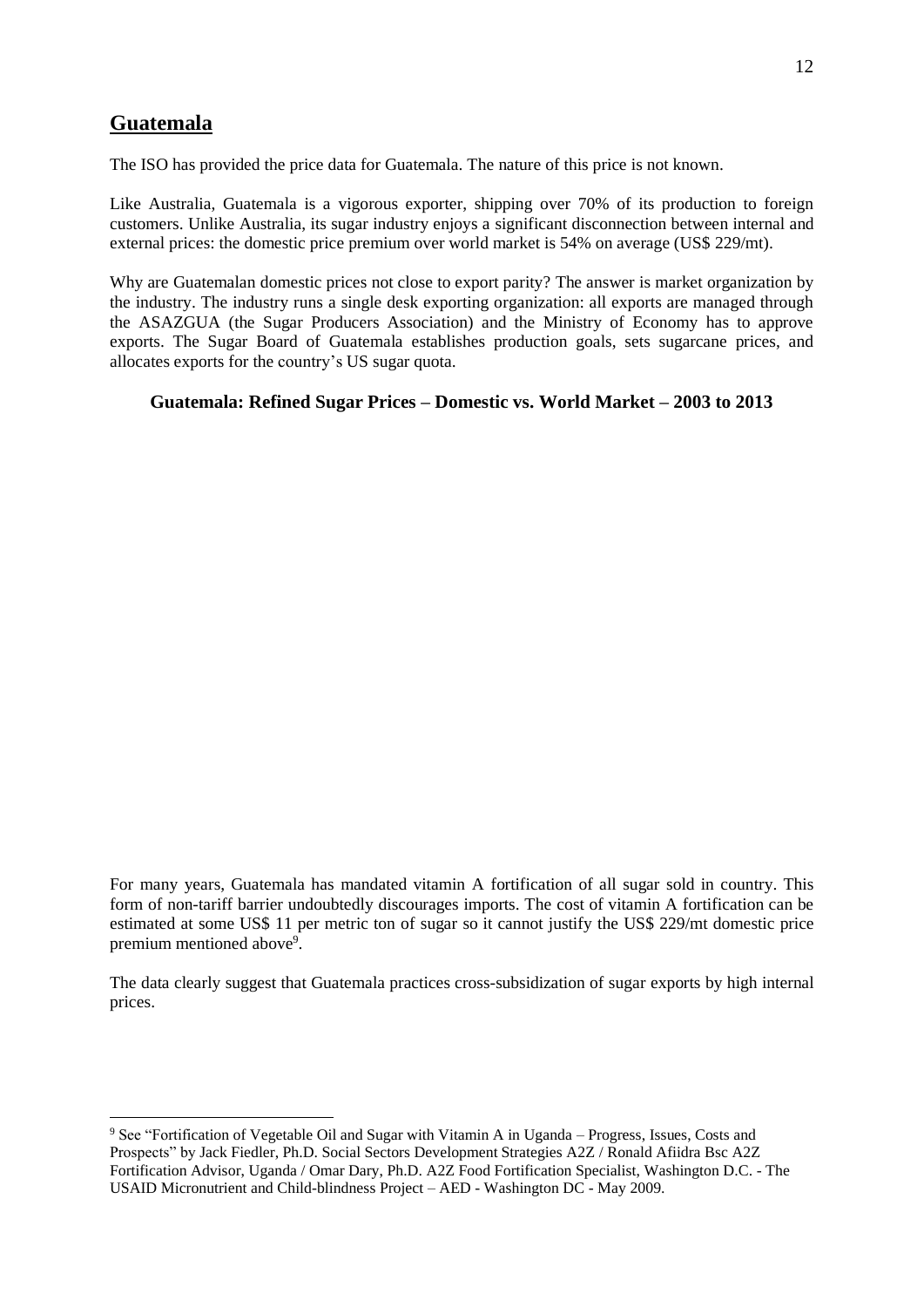### **Guatemala**

The ISO has provided the price data for Guatemala. The nature of this price is not known.

Like Australia, Guatemala is a vigorous exporter, shipping over 70% of its production to foreign customers. Unlike Australia, its sugar industry enjoys a significant disconnection between internal and external prices: the domestic price premium over world market is 54% on average (US\$ 229/mt).

Why are Guatemalan domestic prices not close to export parity? The answer is market organization by the industry. The industry runs a single desk exporting organization: all exports are managed through the ASAZGUA (the Sugar Producers Association) and the Ministry of Economy has to approve exports. The Sugar Board of Guatemala establishes production goals, sets sugarcane prices, and allocates exports for the country's US sugar quota.

#### **Guatemala: Refined Sugar Prices – Domestic vs. World Market – 2003 to 2013**

For many years, Guatemala has mandated vitamin A fortification of all sugar sold in country. This form of non-tariff barrier undoubtedly discourages imports. The cost of vitamin A fortification can be estimated at some US\$ 11 per metric ton of sugar so it cannot justify the US\$ 229/mt domestic price premium mentioned above<sup>9</sup>.

The data clearly suggest that Guatemala practices cross-subsidization of sugar exports by high internal prices.

<sup>9</sup> See "Fortification of Vegetable Oil and Sugar with Vitamin A in Uganda – Progress, Issues, Costs and Prospects" by Jack Fiedler, Ph.D. Social Sectors Development Strategies A2Z / Ronald Afiidra Bsc A2Z Fortification Advisor, Uganda / Omar Dary, Ph.D. A2Z Food Fortification Specialist, Washington D.C. - The USAID Micronutrient and Child-blindness Project – AED - Washington DC - May 2009.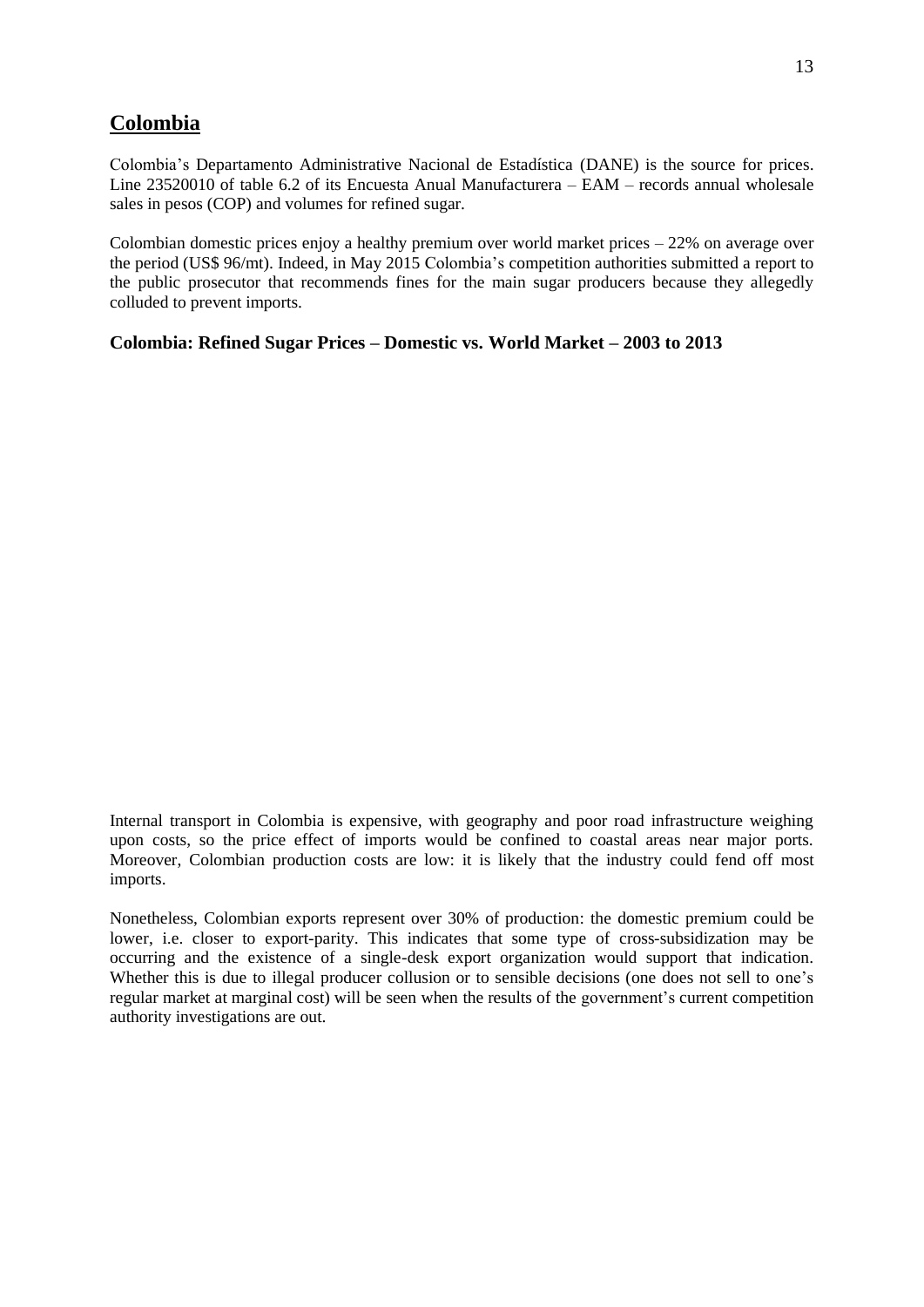### **Colombia**

Colombia's Departamento Administrative Nacional de Estadística (DANE) is the source for prices. Line 23520010 of table 6.2 of its Encuesta Anual Manufacturera – EAM – records annual wholesale sales in pesos (COP) and volumes for refined sugar.

Colombian domestic prices enjoy a healthy premium over world market prices – 22% on average over the period (US\$ 96/mt). Indeed, in May 2015 Colombia's competition authorities submitted a report to the public prosecutor that recommends fines for the main sugar producers because they allegedly colluded to prevent imports.

**Colombia: Refined Sugar Prices – Domestic vs. World Market – 2003 to 2013**

Internal transport in Colombia is expensive, with geography and poor road infrastructure weighing upon costs, so the price effect of imports would be confined to coastal areas near major ports. Moreover, Colombian production costs are low: it is likely that the industry could fend off most imports.

Nonetheless, Colombian exports represent over 30% of production: the domestic premium could be lower, i.e. closer to export-parity. This indicates that some type of cross-subsidization may be occurring and the existence of a single-desk export organization would support that indication. Whether this is due to illegal producer collusion or to sensible decisions (one does not sell to one's regular market at marginal cost) will be seen when the results of the government's current competition authority investigations are out.